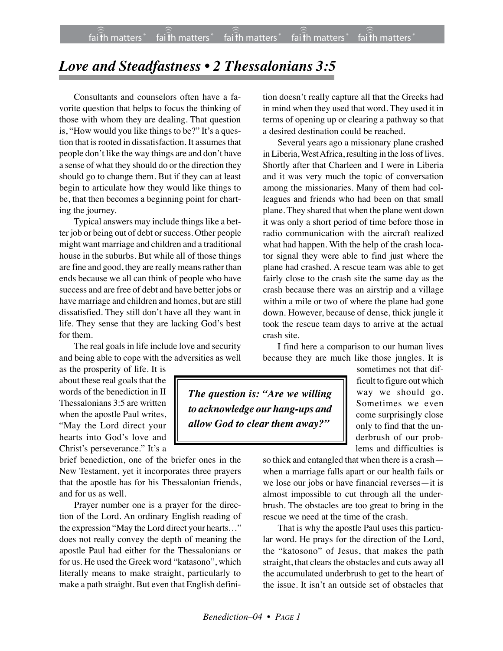## *Love and Steadfastness • 2 Thessalonians 3:5*

Consultants and counselors often have a favorite question that helps to focus the thinking of those with whom they are dealing. That question is, "How would you like things to be?" It's a question that is rooted in dissatisfaction. It assumes that people don't like the way things are and don't have a sense of what they should do or the direction they should go to change them. But if they can at least begin to articulate how they would like things to be, that then becomes a beginning point for charting the journey.

Typical answers may include things like a better job or being out of debt or success. Other people might want marriage and children and a traditional house in the suburbs. But while all of those things are fine and good, they are really means rather than ends because we all can think of people who have success and are free of debt and have better jobs or have marriage and children and homes, but are still dissatisfied. They still don't have all they want in life. They sense that they are lacking God's best for them.

The real goals in life include love and security and being able to cope with the adversities as well

as the prosperity of life. It is about these real goals that the words of the benediction in II Thessalonians 3:5 are written when the apostle Paul writes, "May the Lord direct your hearts into God's love and Christ's perseverance." It's a

brief benediction, one of the briefer ones in the New Testament, yet it incorporates three prayers that the apostle has for his Thessalonian friends, and for us as well.

Prayer number one is a prayer for the direction of the Lord. An ordinary English reading of the expression "May the Lord direct your hearts…" does not really convey the depth of meaning the apostle Paul had either for the Thessalonians or for us. He used the Greek word "katasono", which literally means to make straight, particularly to make a path straight. But even that English definition doesn't really capture all that the Greeks had in mind when they used that word. They used it in terms of opening up or clearing a pathway so that a desired destination could be reached.

Several years ago a missionary plane crashed in Liberia, West Africa, resulting in the loss of lives. Shortly after that Charleen and I were in Liberia and it was very much the topic of conversation among the missionaries. Many of them had colleagues and friends who had been on that small plane. They shared that when the plane went down it was only a short period of time before those in radio communication with the aircraft realized what had happen. With the help of the crash locator signal they were able to find just where the plane had crashed. A rescue team was able to get fairly close to the crash site the same day as the crash because there was an airstrip and a village within a mile or two of where the plane had gone down. However, because of dense, thick jungle it took the rescue team days to arrive at the actual crash site.

I find here a comparison to our human lives because they are much like those jungles. It is

*The question is: "Are we willing to acknowledge our hang-ups and allow God to clear them away?"*

sometimes not that difficult to figure out which way we should go. Sometimes we even come surprisingly close only to find that the underbrush of our problems and difficulties is

so thick and entangled that when there is a crash when a marriage falls apart or our health fails or we lose our jobs or have financial reverses—it is almost impossible to cut through all the underbrush. The obstacles are too great to bring in the rescue we need at the time of the crash.

That is why the apostle Paul uses this particular word. He prays for the direction of the Lord, the "katosono" of Jesus, that makes the path straight, that clears the obstacles and cuts away all the accumulated underbrush to get to the heart of the issue. It isn't an outside set of obstacles that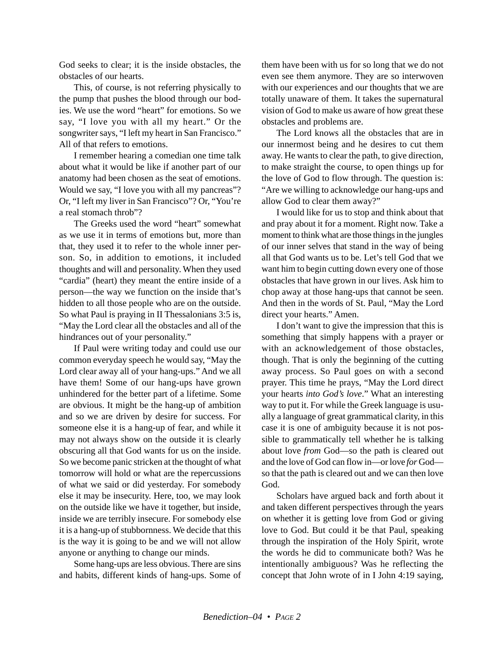God seeks to clear; it is the inside obstacles, the obstacles of our hearts.

This, of course, is not referring physically to the pump that pushes the blood through our bodies. We use the word "heart" for emotions. So we say, "I love you with all my heart." Or the songwriter says, "I left my heart in San Francisco." All of that refers to emotions.

I remember hearing a comedian one time talk about what it would be like if another part of our anatomy had been chosen as the seat of emotions. Would we say, "I love you with all my pancreas"? Or, "I left my liver in San Francisco"? Or, "You're a real stomach throb"?

The Greeks used the word "heart" somewhat as we use it in terms of emotions but, more than that, they used it to refer to the whole inner person. So, in addition to emotions, it included thoughts and will and personality. When they used "cardia" (heart) they meant the entire inside of a person—the way we function on the inside that's hidden to all those people who are on the outside. So what Paul is praying in II Thessalonians 3:5 is, "May the Lord clear all the obstacles and all of the hindrances out of your personality."

If Paul were writing today and could use our common everyday speech he would say, "May the Lord clear away all of your hang-ups." And we all have them! Some of our hang-ups have grown unhindered for the better part of a lifetime. Some are obvious. It might be the hang-up of ambition and so we are driven by desire for success. For someone else it is a hang-up of fear, and while it may not always show on the outside it is clearly obscuring all that God wants for us on the inside. So we become panic stricken at the thought of what tomorrow will hold or what are the repercussions of what we said or did yesterday. For somebody else it may be insecurity. Here, too, we may look on the outside like we have it together, but inside, inside we are terribly insecure. For somebody else it is a hang-up of stubbornness. We decide that this is the way it is going to be and we will not allow anyone or anything to change our minds.

Some hang-ups are less obvious. There are sins and habits, different kinds of hang-ups. Some of them have been with us for so long that we do not even see them anymore. They are so interwoven with our experiences and our thoughts that we are totally unaware of them. It takes the supernatural vision of God to make us aware of how great these obstacles and problems are.

The Lord knows all the obstacles that are in our innermost being and he desires to cut them away. He wants to clear the path, to give direction, to make straight the course, to open things up for the love of God to flow through. The question is: "Are we willing to acknowledge our hang-ups and allow God to clear them away?"

I would like for us to stop and think about that and pray about it for a moment. Right now. Take a moment to think what are those things in the jungles of our inner selves that stand in the way of being all that God wants us to be. Let's tell God that we want him to begin cutting down every one of those obstacles that have grown in our lives. Ask him to chop away at those hang-ups that cannot be seen. And then in the words of St. Paul, "May the Lord direct your hearts." Amen.

I don't want to give the impression that this is something that simply happens with a prayer or with an acknowledgement of those obstacles, though. That is only the beginning of the cutting away process. So Paul goes on with a second prayer. This time he prays, "May the Lord direct your hearts *into God's love*." What an interesting way to put it. For while the Greek language is usually a language of great grammatical clarity, in this case it is one of ambiguity because it is not possible to grammatically tell whether he is talking about love *from* God—so the path is cleared out and the love of God can flow in—or love *for* God so that the path is cleared out and we can then love God.

Scholars have argued back and forth about it and taken different perspectives through the years on whether it is getting love from God or giving love to God. But could it be that Paul, speaking through the inspiration of the Holy Spirit, wrote the words he did to communicate both? Was he intentionally ambiguous? Was he reflecting the concept that John wrote of in I John 4:19 saying,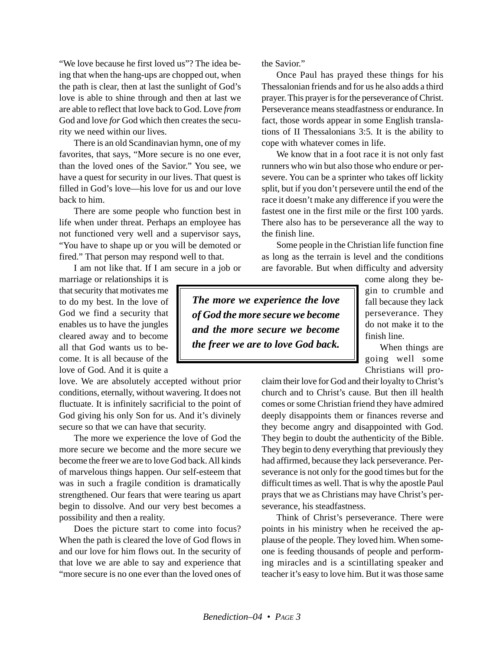"We love because he first loved us"? The idea being that when the hang-ups are chopped out, when the path is clear, then at last the sunlight of God's love is able to shine through and then at last we are able to reflect that love back to God. Love *from* God and love *for* God which then creates the security we need within our lives.

There is an old Scandinavian hymn, one of my favorites, that says, "More secure is no one ever, than the loved ones of the Savior." You see, we have a quest for security in our lives. That quest is filled in God's love—his love for us and our love back to him.

There are some people who function best in life when under threat. Perhaps an employee has not functioned very well and a supervisor says, "You have to shape up or you will be demoted or fired." That person may respond well to that.

I am not like that. If I am secure in a job or

marriage or relationships it is that security that motivates me to do my best. In the love of God we find a security that enables us to have the jungles cleared away and to become all that God wants us to become. It is all because of the love of God. And it is quite a

love. We are absolutely accepted without prior conditions, eternally, without wavering. It does not fluctuate. It is infinitely sacrificial to the point of God giving his only Son for us. And it's divinely secure so that we can have that security.

The more we experience the love of God the more secure we become and the more secure we become the freer we are to love God back. All kinds of marvelous things happen. Our self-esteem that was in such a fragile condition is dramatically strengthened. Our fears that were tearing us apart begin to dissolve. And our very best becomes a possibility and then a reality.

Does the picture start to come into focus? When the path is cleared the love of God flows in and our love for him flows out. In the security of that love we are able to say and experience that "more secure is no one ever than the loved ones of

the Savior."

Once Paul has prayed these things for his Thessalonian friends and for us he also adds a third prayer. This prayer is for the perseverance of Christ. Perseverance means steadfastness or endurance. In fact, those words appear in some English translations of II Thessalonians 3:5. It is the ability to cope with whatever comes in life.

We know that in a foot race it is not only fast runners who win but also those who endure or persevere. You can be a sprinter who takes off lickity split, but if you don't persevere until the end of the race it doesn't make any difference if you were the fastest one in the first mile or the first 100 yards. There also has to be perseverance all the way to the finish line.

Some people in the Christian life function fine as long as the terrain is level and the conditions are favorable. But when difficulty and adversity

*The more we experience the love of God the more secure we become and the more secure we become the freer we are to love God back.*

come along they begin to crumble and fall because they lack perseverance. They do not make it to the finish line.

When things are going well some Christians will pro-

claim their love for God and their loyalty to Christ's church and to Christ's cause. But then ill health comes or some Christian friend they have admired deeply disappoints them or finances reverse and they become angry and disappointed with God. They begin to doubt the authenticity of the Bible. They begin to deny everything that previously they had affirmed, because they lack perseverance. Perseverance is not only for the good times but for the difficult times as well. That is why the apostle Paul prays that we as Christians may have Christ's perseverance, his steadfastness.

Think of Christ's perseverance. There were points in his ministry when he received the applause of the people. They loved him. When someone is feeding thousands of people and performing miracles and is a scintillating speaker and teacher it's easy to love him. But it was those same